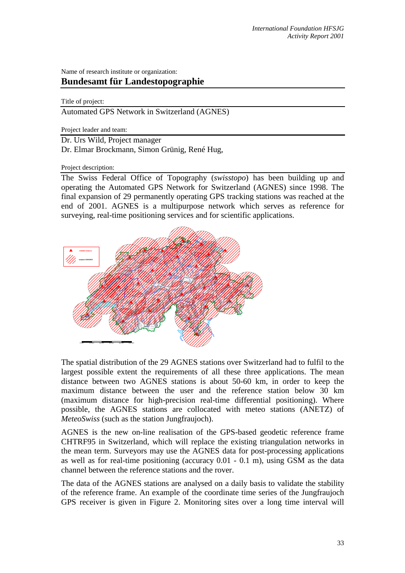Name of research institute or organization:

## **Bundesamt für Landestopographie**

## Title of project:

Automated GPS Network in Switzerland (AGNES)

Project leader and team:

Dr. Urs Wild, Project manager

Dr. Elmar Brockmann, Simon Grünig, René Hug,

## Project description:

The Swiss Federal Office of Topography (*swisstopo*) has been building up and operating the Automated GPS Network for Switzerland (AGNES) since 1998. The final expansion of 29 permanently operating GPS tracking stations was reached at the end of 2001. AGNES is a multipurpose network which serves as reference for surveying, real-time positioning services and for scientific applications.



The spatial distribution of the 29 AGNES stations over Switzerland had to fulfil to the largest possible extent the requirements of all these three applications. The mean distance between two AGNES stations is about 50-60 km, in order to keep the maximum distance between the user and the reference station below 30 km (maximum distance for high-precision real-time differential positioning). Where possible, the AGNES stations are collocated with meteo stations (ANETZ) of *MeteoSwiss* (such as the station Jungfraujoch).

AGNES is the new on-line realisation of the GPS-based geodetic reference frame CHTRF95 in Switzerland, which will replace the existing triangulation networks in the mean term. Surveyors may use the AGNES data for post-processing applications as well as for real-time positioning (accuracy 0.01 - 0.1 m), using GSM as the data channel between the reference stations and the rover.

The data of the AGNES stations are analysed on a daily basis to validate the stability of the reference frame. An example of the coordinate time series of the Jungfraujoch GPS receiver is given in Figure 2. Monitoring sites over a long time interval will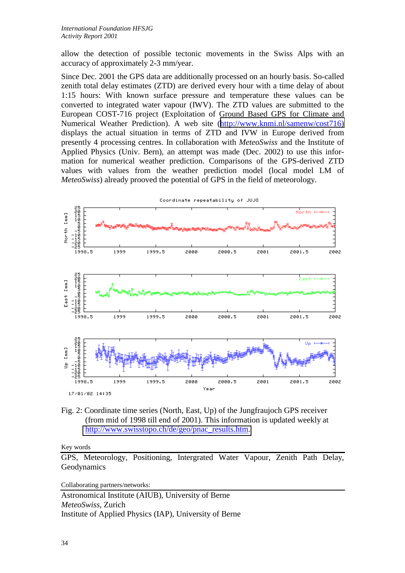allow the detection of possible tectonic movements in the Swiss Alps with an accuracy of approximately 2-3 mm/year.

Since Dec. 2001 the GPS data are additionally processed on an hourly basis. So-called zenith total delay estimates (ZTD) are derived every hour with a time delay of about 1:15 hours: With known surface pressure and temperature these values can be converted to integrated water vapour (IWV). The ZTD values are submitted to the European COST-716 project (Exploitation of Ground Based GPS for Climate and Numerical Weather Prediction). A web site ([http://www.knmi.nl/samenw/cost716\)](http://www.knmi.nl/samenw/cost716)  displays the actual situation in terms of ZTD and IVW in Europe derived from presently 4 processing centres. In collaboration with *MeteoSwiss* and the Institute of Applied Physics (Univ. Bern), an attempt was made (Dec. 2002) to use this information for numerical weather prediction. Comparisons of the GPS-derived ZTD values with values from the weather prediction model (local model LM of *MeteoSwiss*) already prooved the potential of GPS in the field of meteorology.



Fig. 2: Coordinate time series (North, East, Up) of the Jungfraujoch GPS receiver (from mid of 1998 till end of 2001). This information is updated weekly at [http://www.swisstopo.ch/de/geo/pnac\\_results.htm.](http://www.swisstopo.ch/de/geo/pnac_results.htm) 

Key words

GPS, Meteorology, Positioning, Intergrated Water Vapour, Zenith Path Delay, Geodynamics

Collaborating partners/networks:

Astronomical Institute (AIUB), University of Berne *MeteoSwiss*, Zurich Institute of Applied Physics (IAP), University of Berne